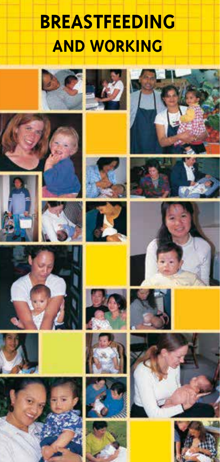# **BREASTFEEDING AND WORKING**

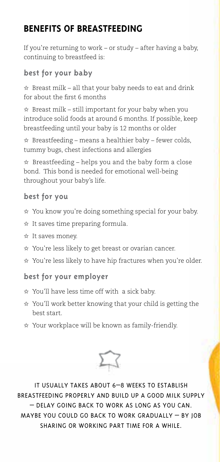# **BENEFITS OF BREASTFEEDING**

If you're returning to work – or study – after having a baby, continuing to breastfeed is:

#### **best for your baby**

 $\hat{x}$  Breast milk – all that your baby needs to eat and drink for about the first 6 months

 $\hat{x}$  Breast milk – still important for your baby when you introduce solid foods at around 6 months. If possible, keep breastfeeding until your baby is 12 months or older

✩ Breastfeeding – means a healthier baby – fewer colds, tummy bugs, chest infections and allergies

✩ Breastfeeding – helps you and the baby form a close bond. This bond is needed for emotional well-being throughout your baby's life.

#### **best for you**

- ✩ You know you're doing something special for your baby.
- ✩ It saves time preparing formula.
- ✩ It saves money.
- ✩ You're less likely to get breast or ovarian cancer.
- ✩ You're less likely to have hip fractures when you're older.

#### **best for your employer**

- ✩ You'll have less time off with a sick baby.
- ✩ You'll work better knowing that your child is getting the best start.
- ✩ Your workplace will be known as family-friendly.



IT USUALLY TAKES ABOUT 6–8 WEEKS TO ESTABLISH BREASTFEEDING PROPERLY AND BUILD UP A GOOD MILK SUPPLY – DELAY GOING BACK TO WORK AS LONG AS YOU CAN. MAYBE YOU COULD GO BACK TO WORK GRADUALLY – BY JOB SHARING OR WORKING PART TIME FOR A WHILE.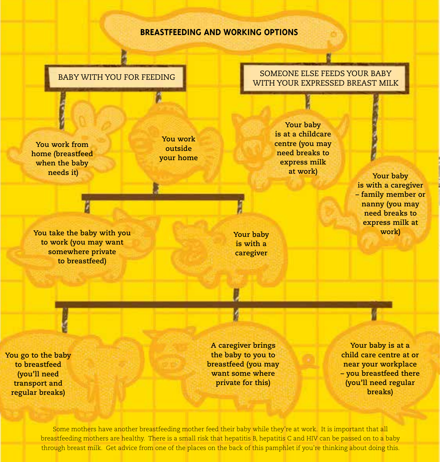#### **BREASTFEEDING AND WORKING OPTIONS**

**You work from home (breastfeed when the baby needs it) at work at work**  *at work it Your baby* 

**You work outside your home** 

*You take the baby with you* **work) <b>***Your baby Your baby Work* **to work (you may want somewhere private to breastfeed)** 

BABY WITH YOU FOR FEEDING BABY WITH YOUR EXPRESSED BREAST MILK

SOMEONE ELSE FEEDS YOUR BABY

**Your baby is at a childcare centre (you may need breaks to express milk at work)** 

**Your baby is with a caregiver** 

**is with a caregiver – family member or nanny (you may need breaks to express milk at** 

**You go to the baby to breastfeed (you'll need transport and regular breaks)** 

**A caregiver brings the baby to you to breastfeed (you may want some where private for this)** 

**Your baby is at a child care centre at or near your workplace – you breastfeed there (you'll need regular breaks)** 

Some mothers have another breastfeeding mother feed their baby while they're at work. It is important that all breastfeeding mothers are healthy. There is a small risk that hepatitis B, hepatitis C and HIV can be passed on to a baby through breast milk. Get advice from one of the places on the back of this pamphlet if you're thinking about doing this.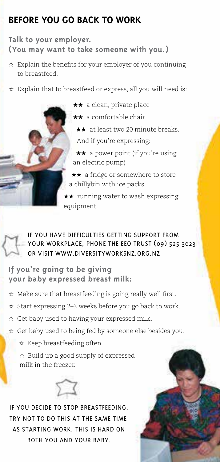# **BEFORE YOU GO BACK TO WORK**

#### **Talk to your employer. (You may want to take someone with you.)**

- $\hat{\mathbf{x}}$  Explain the benefits for your employer of you continuing to breastfeed.
- $\hat{x}$  Explain that to breastfeed or express, all you will need is:

★★ a clean, private place

- ★★ a comfortable chair
	- ★★ at least two 20 minute breaks.

And if you're expressing:

★★ a power point (if you're using an electric pump)

★★ a fridge or somewhere to store a chillybin with ice packs

 $\star\star$  running water to wash expressing equipment.

IF YOU HAVE DIFFICULTIES GETTING SUPPORT FROM YOUR WORKPLACE, PHONE THE EEO TRUST (09) 525 3023 OR VISIT WWW.DIVERSITYWORKSNZ.ORG.NZ

**If you're going to be giving your baby expressed breast milk:** 

- $\hat{x}$  Make sure that breastfeeding is going really well first.
- ✩ Start expressing 2–3 weeks before you go back to work.
- ✩ Get baby used to having your expressed milk.
- ✩ Get baby used to being fed by someone else besides you.
	- ✩ Keep breastfeeding often.

✩ Build up a good supply of expressed milk in the freezer.



IF YOU DECIDE TO STOP BREASTFEEDING, TRY NOT TO DO THIS AT THE SAME TIME AS STARTING WORK. THIS IS HARD ON BOTH YOU AND YOUR BABY.

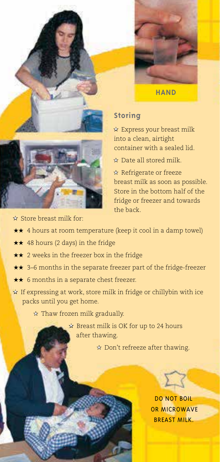



**HAND** 

#### **Storing**

★ Express your breast milk into a clean, airtight container with a sealed lid.

★ Date all stored milk.

★ Refrigerate or freeze breast milk as soon as possible. Store in the bottom half of the fridge or freezer and towards the back.

★ Store breast milk for:

- ★★ 4 hours at room temperature (keep it cool in a damp towel)
- ★★ 48 hours (2 days) in the fridge
- ★★ 2 weeks in the freezer box in the fridge
- ★★ 3–6 months in the separate freezer part of the fridge-freezer
- ★★ 6 months in a separate chest freezer.
- $\star$  If expressing at work, store milk in fridge or chillybin with ice packs until you get home.

★ Thaw frozen milk gradually.

 ★ Breast milk is OK for up to 24 hours after thawing.

★ Don't refreeze after thawing.

DO NOT BOIL OR MICROWAVE BREAST MILK.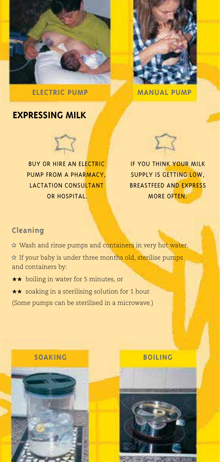



**ELECTRIC PUMP MANUAL PUMP** 

### **EXPRESSING MILK**



BUY OR HIRE AN ELECTRIC PUMP FROM A PHARMACY, LACTATION CONSULTANT OR HOSPITAL.



IF YOU THINK YOUR MILK SUPPLY IS GETTING LOW, BREASTFEED AND EXPRESS MORE OFTEN

#### **Cleaning**

- ★ Wash and rinse pumps and containers in very hot water.
- ★ If your baby is under three months old, sterilise pumps and containers by:
- ★★ boiling in water for 5 minutes, or
- ★★ soaking in a sterilising solution for 1 hour.
- (Some pumps can be sterilised in a microwave.)



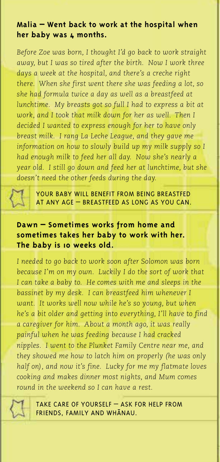#### **Malia – Went back to work at the hospital when**  her baby was  $\boldsymbol{\mu}$  months.

*Before Zoe was born, I thought I'd go back to work straight away, but I was so tired after the birth. Now I work three days a week at the hospital, and there's a creche right there. When she first went there she was feeding a lot, so she had formula twice a day as well as a breastfeed at lunchtime. My breasts got so full I had to express a bit at work, and I took that milk down for her as well. Then I decided I wanted to express enough for her to have only breast milk. I rang La Leche League, and they gave me information on how to slowly build up my milk supply so I had enough milk to feed her all day. Now she's nearly a year old. I still go down and feed her at lunchtime, but she doesn't need the other feeds during the day.* 



YOUR BABY WILL BENEFIT FROM BEING BREASTFED AT ANY AGE – BREASTFEED AS LONG AS YOU CAN.

#### **Dawn – Sometimes works from home and sometimes takes her baby to work with her. The baby is 10 weeks old.**

*I needed to go back to work soon after Solomon was born because I'm on my own. Luckily I do the sort of work that I can take a baby to. He comes with me and sleeps in the bassinet by my desk. I can breastfeed him whenever I want. It works well now while he's so young, but when he's a bit older and getting into everything, I'll have to find a caregiver for him. About a month ago, it was really painful when he was feeding because I had cracked nipples. I went to the Plunket Family Centre near me, and they showed me how to latch him on properly (he was only half on), and now it's fine. Lucky for me my flatmate loves cooking and makes dinner most nights, and Mum comes round in the weekend so I can have a rest.* 



TAKE CARE OF YOURSELF – ASK FOR HELP FROM FRIENDS, FAMILY AND WHANAU.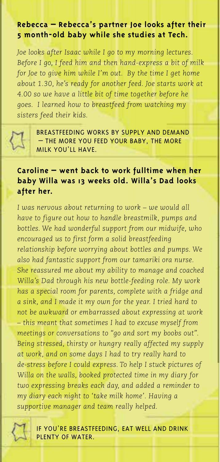#### **Rebecca – Rebecca's partner Joe looks after their 5 month-old baby while she studies at Tech.**

*Joe looks after Isaac while I go to my morning lectures. Before I go, I feed him and then hand-express a bit of milk for Joe to give him while I'm out. By the time I get home about 1.30, he's ready for another feed. Joe starts work at 4.00 so we have a little bit of time together before he goes. I learned how to breastfeed from watching my sisters feed their kids.* 



BREASTFEEDING WORKS BY SUPPLY AND DEMAND THE MORE YOU FEED YOUR BABY. THE MORE MILK YOU'LL HAVE.

#### **Caroline – went back to work fulltime when her baby Willa was 13 weeks old. Willa's Dad looks after her.**

*I was nervous about returning to work – we would all have to figure out how to handle breastmilk, pumps and bottles. We had wonderful support from our midwife, who encouraged us to first form a solid breastfeeding relationship before worrying about bottles and pumps. We also had fantastic support from our tamariki ora nurse. She reassured me about my ability to manage and coached Willa's Dad through his new bottle-feeding role. My work has a special room for parents, complete with a fridge and a sink, and I made it my own for the year. I tried hard to not be awkward or embarrassed about expressing at work – this meant that sometimes I had to excuse myself from meetings or conversations to "go and sort my boobs out". Being stressed, thirsty or hungry really affected my supply at work, and on some days I had to try really hard to de-stress before I could express. To help I stuck pictures of Willa on the walls, booked protected time in my diary for two expressing breaks each day, and added a reminder to my diary each night to 'take milk home'. Having a supportive manager and team really helped.* 



IF YOU'RE BREASTFEEDING, EAT WELL AND DRINK PLENTY OF WATER.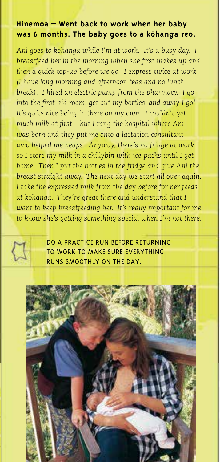#### **Hinemoa – Went back to work when her baby was 6 months. The baby goes to a kohanga reo.**

Ani goes to kōhanga while I'm at work. It's a busy day. I *breastfeed her in the morning when she first wakes up and then a quick top-up before we go. I express twice at work (I have long morning and afternoon teas and no lunch break). I hired an electric pump from the pharmacy. I go*  into the first-aid room, get out my bottles, and away I go! It's quite nice being in there on my own. I couldn't get much milk at first – but I rang the hospital where Ani *was born and they put me onto a lactation consultant who helped me heaps. Anyway, there's no fridge at work so I store my milk in a chillybin with ice-packs until I get home. Then I put the bottles in the fridge and give Ani the breast straight away. The next day we start all over again. I take the expressed milk from the day before for her feeds*  at kōhanga. They're great there and understand that I *want to keep breastfeeding her. It's really important for me to know she's getting something special when I'm not there.* 



DO A PRACTICE RUN BEFORE RETURNING TO WORK TO MAKE SURE EVERYTHING RUNS SMOOTHLY ON THE DAY.

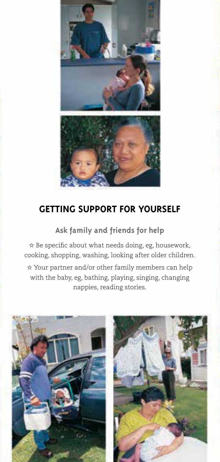

# **GETTING SUPPORT FOR YOURSELF**

**Ask family and friends for help** 

 $\hat{x}$  Be specific about what needs doing, eg, housework, cooking, shopping, washing, looking after older children.

✩ Your partner and/or other family members can help with the baby, eg, bathing, playing, singing, changing nappies, reading stories.